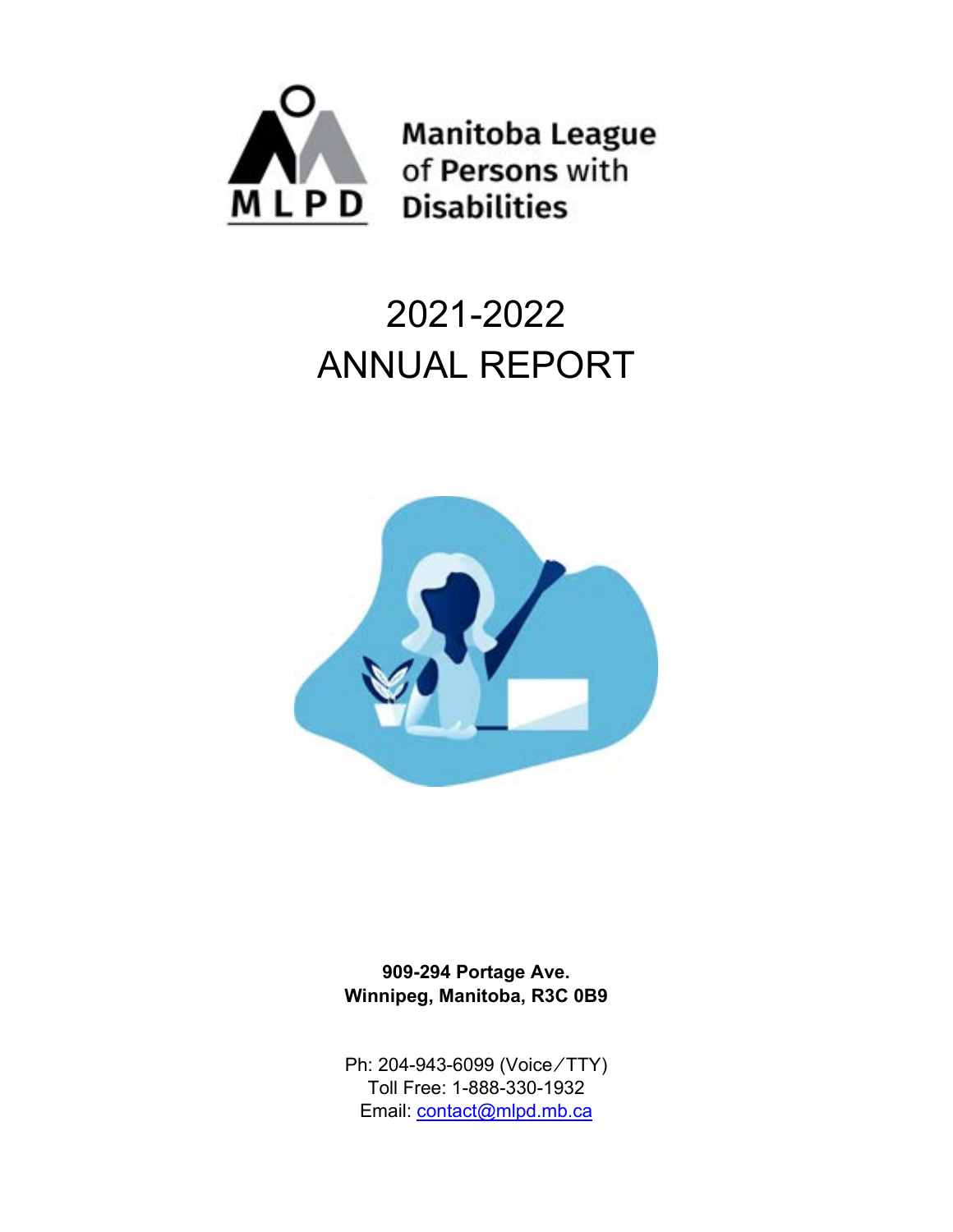

Manitoba League of Persons with **MLPD** Disabilities

## 2021-2022 ANNUAL REPORT



**909-294 Portage Ave. Winnipeg, Manitoba, R3C 0B9** 

Ph: 204-943-6099 (Voice/TTY) Toll Free: 1-888-330-1932 Email: contact@mlpd.mb.ca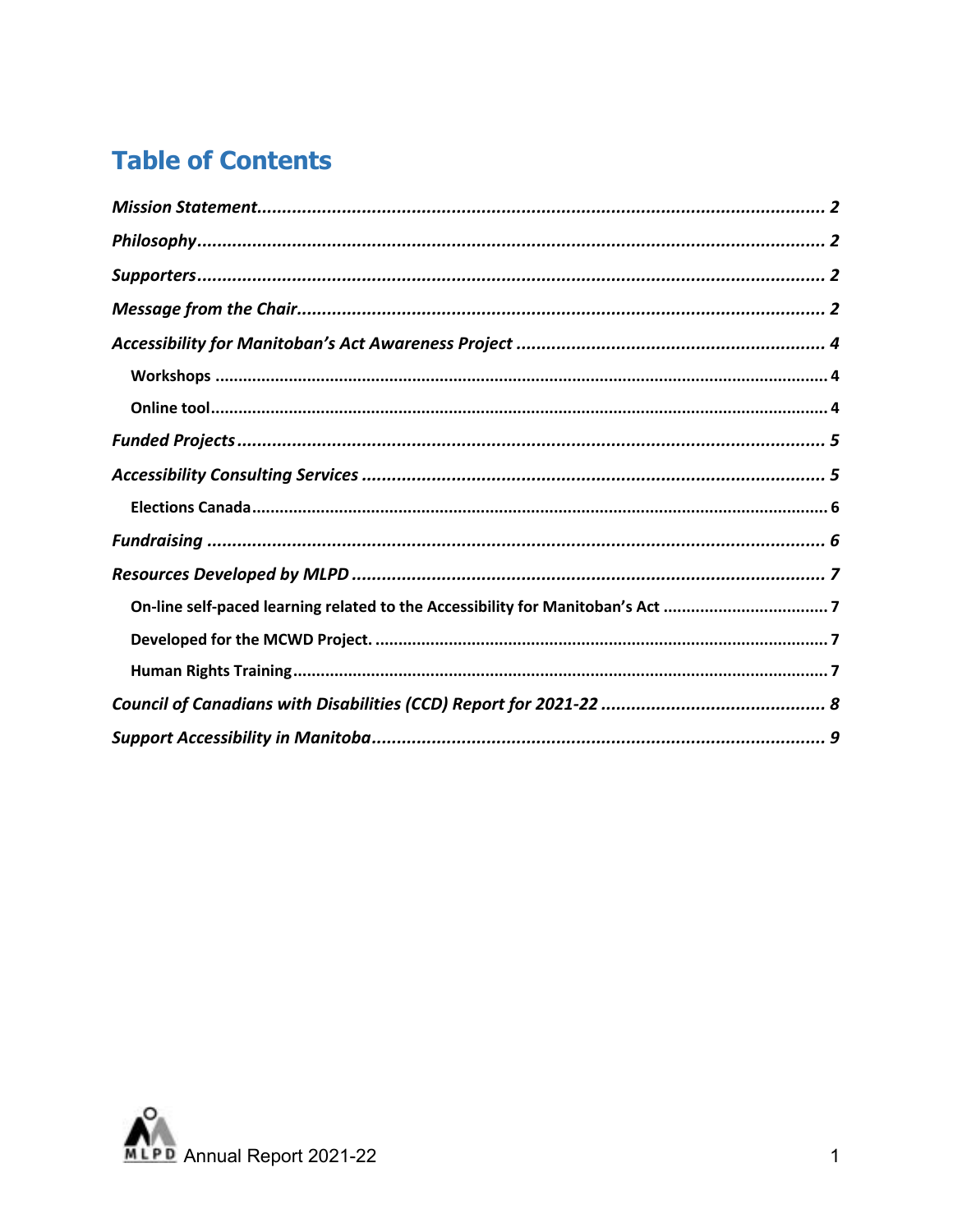## **Table of Contents**

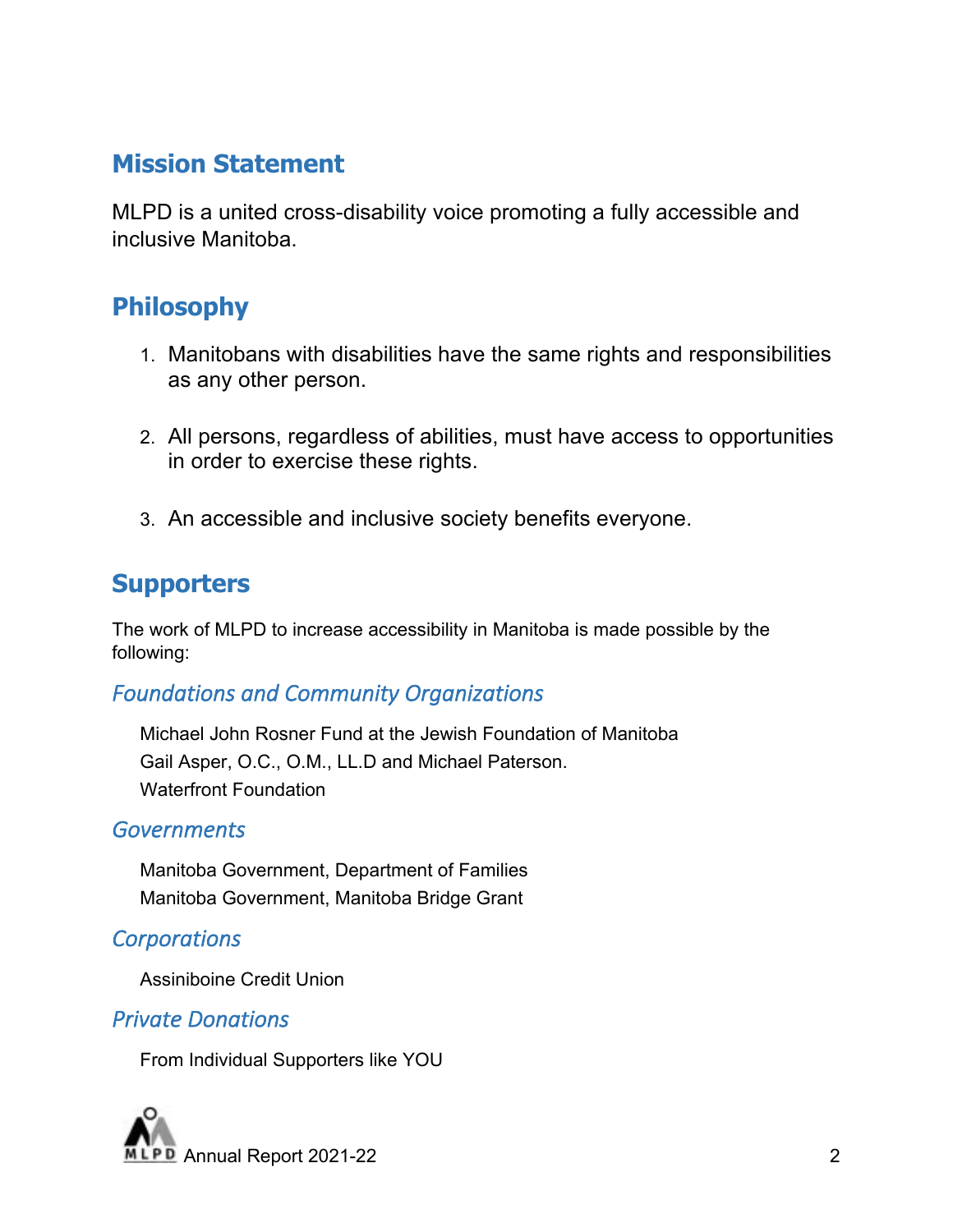## **Mission Statement**

MLPD is a united cross-disability voice promoting a fully accessible and inclusive Manitoba.

## **Philosophy**

- 1. Manitobans with disabilities have the same rights and responsibilities as any other person.
- 2. All persons, regardless of abilities, must have access to opportunities in order to exercise these rights.
- 3. An accessible and inclusive society benefits everyone.

## **Supporters**

The work of MLPD to increase accessibility in Manitoba is made possible by the following:

#### *Foundations and Community Organizations*

Michael John Rosner Fund at the Jewish Foundation of Manitoba Gail Asper, O.C., O.M., LL.D and Michael Paterson. Waterfront Foundation

#### *Governments*

Manitoba Government, Department of Families Manitoba Government, Manitoba Bridge Grant

#### *Corporations*

Assiniboine Credit Union

#### *Private Donations*

From Individual Supporters like YOU

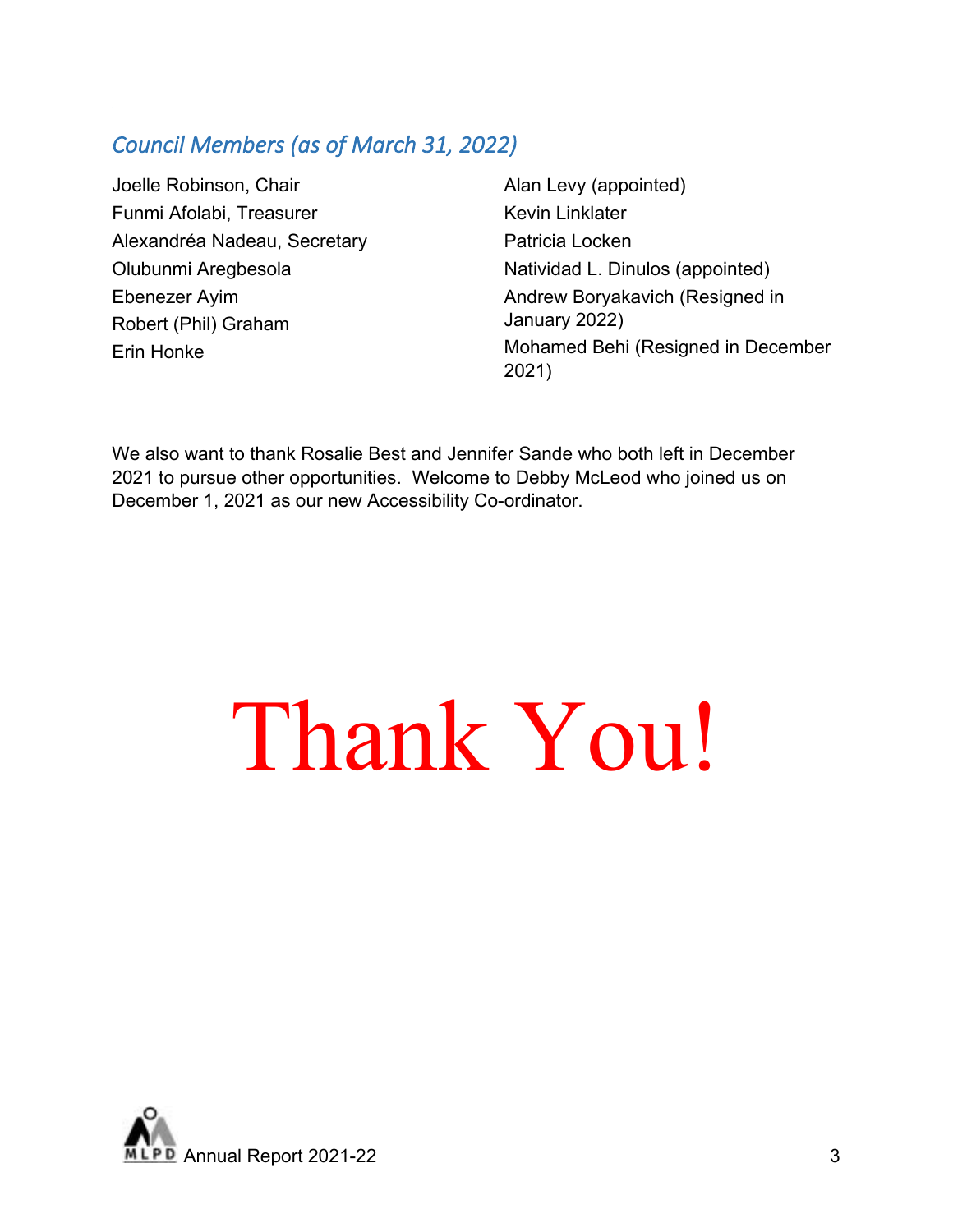### *Council Members (as of March 31, 2022)*

Joelle Robinson, Chair Funmi Afolabi, Treasurer Alexandréa Nadeau, Secretary Olubunmi Aregbesola Ebenezer Ayim Robert (Phil) Graham Erin Honke

Alan Levy (appointed) Kevin Linklater Patricia Locken Natividad L. Dinulos (appointed) Andrew Boryakavich (Resigned in January 2022) Mohamed Behi (Resigned in December 2021)

We also want to thank Rosalie Best and Jennifer Sande who both left in December 2021 to pursue other opportunities. Welcome to Debby McLeod who joined us on December 1, 2021 as our new Accessibility Co-ordinator.

# Thank You!

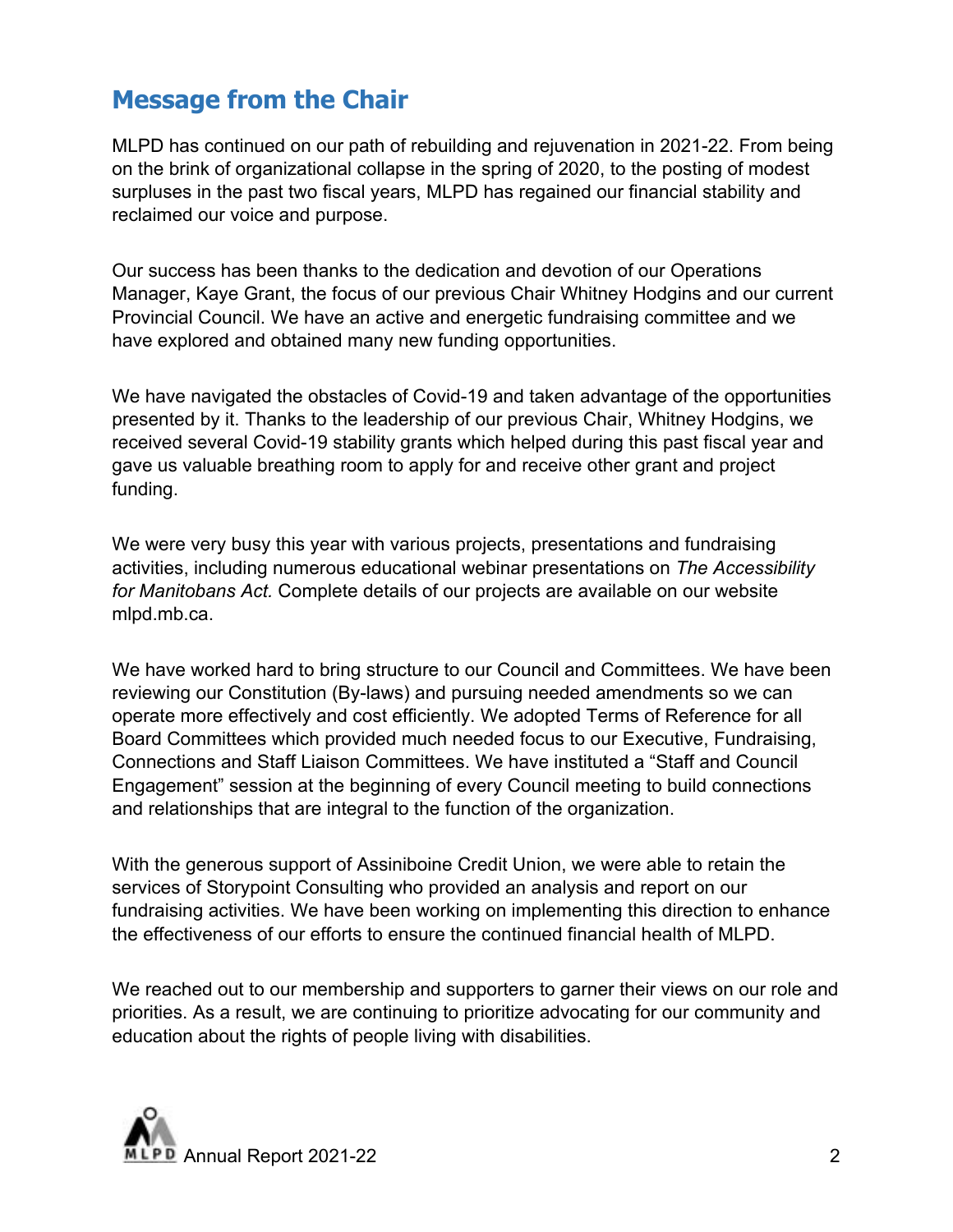## **Message from the Chair**

MLPD has continued on our path of rebuilding and rejuvenation in 2021-22. From being on the brink of organizational collapse in the spring of 2020, to the posting of modest surpluses in the past two fiscal years, MLPD has regained our financial stability and reclaimed our voice and purpose.

Our success has been thanks to the dedication and devotion of our Operations Manager, Kaye Grant, the focus of our previous Chair Whitney Hodgins and our current Provincial Council. We have an active and energetic fundraising committee and we have explored and obtained many new funding opportunities.

We have navigated the obstacles of Covid-19 and taken advantage of the opportunities presented by it. Thanks to the leadership of our previous Chair, Whitney Hodgins, we received several Covid-19 stability grants which helped during this past fiscal year and gave us valuable breathing room to apply for and receive other grant and project funding.

We were very busy this year with various projects, presentations and fundraising activities, including numerous educational webinar presentations on *The Accessibility for Manitobans Act.* Complete details of our projects are available on our website mlpd.mb.ca.

We have worked hard to bring structure to our Council and Committees. We have been reviewing our Constitution (By-laws) and pursuing needed amendments so we can operate more effectively and cost efficiently. We adopted Terms of Reference for all Board Committees which provided much needed focus to our Executive, Fundraising, Connections and Staff Liaison Committees. We have instituted a "Staff and Council Engagement" session at the beginning of every Council meeting to build connections and relationships that are integral to the function of the organization.

With the generous support of Assiniboine Credit Union, we were able to retain the services of Storypoint Consulting who provided an analysis and report on our fundraising activities. We have been working on implementing this direction to enhance the effectiveness of our efforts to ensure the continued financial health of MLPD.

We reached out to our membership and supporters to garner their views on our role and priorities. As a result, we are continuing to prioritize advocating for our community and education about the rights of people living with disabilities.

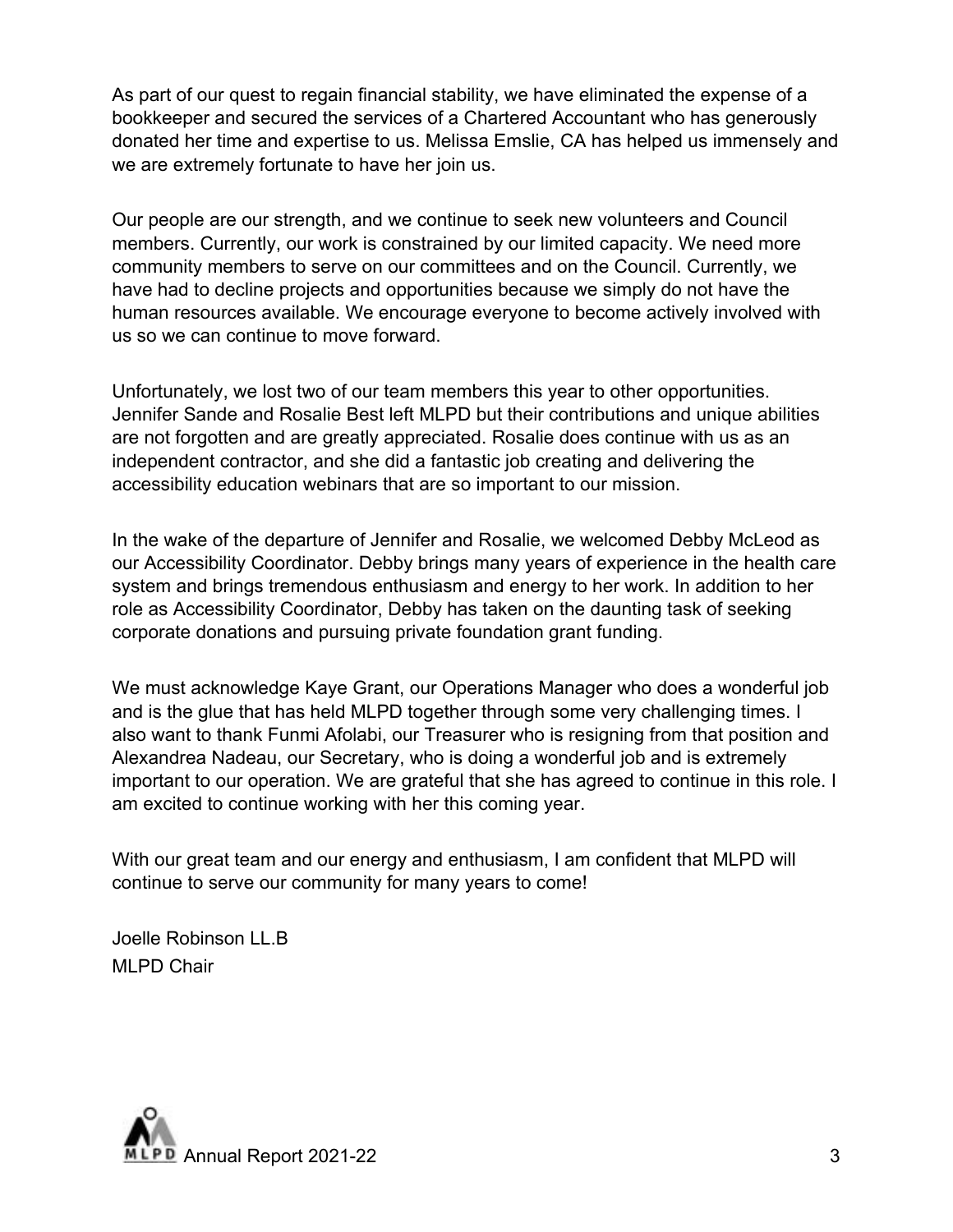As part of our quest to regain financial stability, we have eliminated the expense of a bookkeeper and secured the services of a Chartered Accountant who has generously donated her time and expertise to us. Melissa Emslie, CA has helped us immensely and we are extremely fortunate to have her join us.

Our people are our strength, and we continue to seek new volunteers and Council members. Currently, our work is constrained by our limited capacity. We need more community members to serve on our committees and on the Council. Currently, we have had to decline projects and opportunities because we simply do not have the human resources available. We encourage everyone to become actively involved with us so we can continue to move forward.

Unfortunately, we lost two of our team members this year to other opportunities. Jennifer Sande and Rosalie Best left MLPD but their contributions and unique abilities are not forgotten and are greatly appreciated. Rosalie does continue with us as an independent contractor, and she did a fantastic job creating and delivering the accessibility education webinars that are so important to our mission.

In the wake of the departure of Jennifer and Rosalie, we welcomed Debby McLeod as our Accessibility Coordinator. Debby brings many years of experience in the health care system and brings tremendous enthusiasm and energy to her work. In addition to her role as Accessibility Coordinator, Debby has taken on the daunting task of seeking corporate donations and pursuing private foundation grant funding.

We must acknowledge Kaye Grant, our Operations Manager who does a wonderful job and is the glue that has held MLPD together through some very challenging times. I also want to thank Funmi Afolabi, our Treasurer who is resigning from that position and Alexandrea Nadeau, our Secretary, who is doing a wonderful job and is extremely important to our operation. We are grateful that she has agreed to continue in this role. I am excited to continue working with her this coming year.

With our great team and our energy and enthusiasm, I am confident that MLPD will continue to serve our community for many years to come!

Joelle Robinson LL.B MLPD Chair

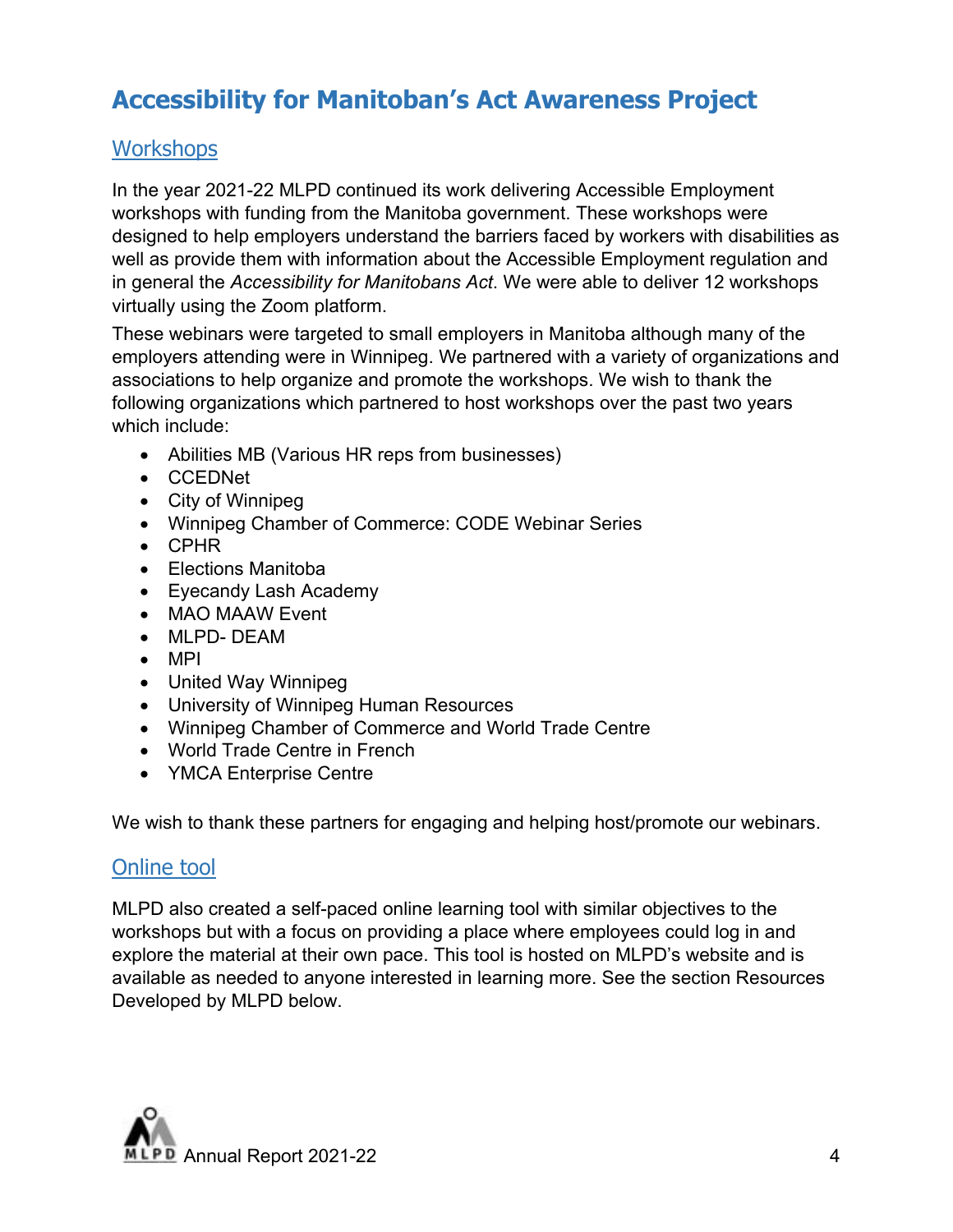## **Accessibility for Manitoban's Act Awareness Project**

#### **Workshops**

In the year 2021-22 MLPD continued its work delivering Accessible Employment workshops with funding from the Manitoba government. These workshops were designed to help employers understand the barriers faced by workers with disabilities as well as provide them with information about the Accessible Employment regulation and in general the *Accessibility for Manitobans Act*. We were able to deliver 12 workshops virtually using the Zoom platform.

These webinars were targeted to small employers in Manitoba although many of the employers attending were in Winnipeg. We partnered with a variety of organizations and associations to help organize and promote the workshops. We wish to thank the following organizations which partnered to host workshops over the past two years which include:

- Abilities MB (Various HR reps from businesses)
- CCEDNet
- City of Winnipeg
- Winnipeg Chamber of Commerce: CODE Webinar Series
- CPHR
- Elections Manitoba
- Eyecandy Lash Academy
- MAO MAAW Event
- MLPD- DEAM
- MPI
- United Way Winnipeg
- University of Winnipeg Human Resources
- Winnipeg Chamber of Commerce and World Trade Centre
- World Trade Centre in French
- YMCA Enterprise Centre

We wish to thank these partners for engaging and helping host/promote our webinars.

#### Online tool

MLPD also created a self-paced online learning tool with similar objectives to the workshops but with a focus on providing a place where employees could log in and explore the material at their own pace. This tool is hosted on MLPD's website and is available as needed to anyone interested in learning more. See the section Resources Developed by MLPD below.

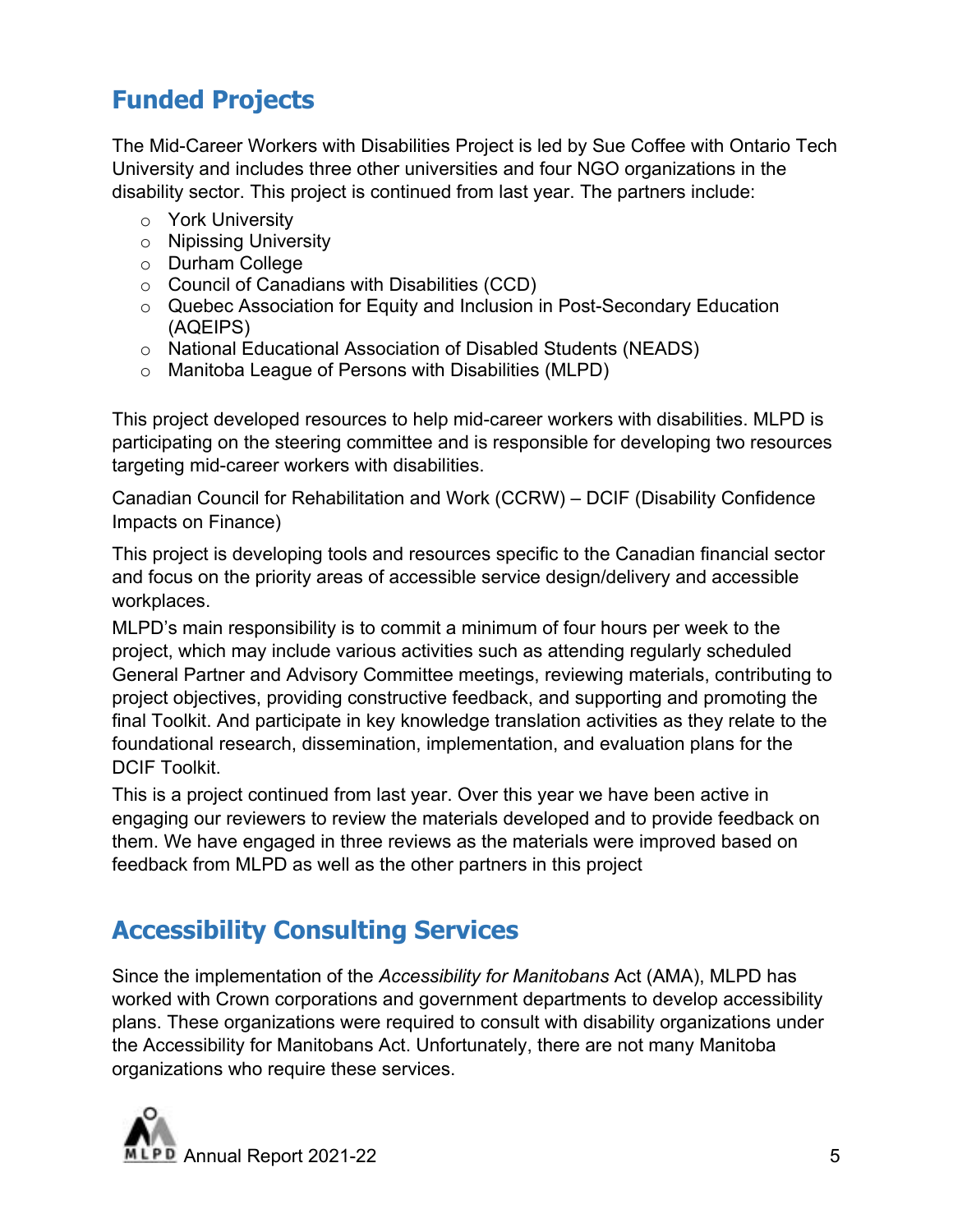## **Funded Projects**

The Mid-Career Workers with Disabilities Project is led by Sue Coffee with Ontario Tech University and includes three other universities and four NGO organizations in the disability sector. This project is continued from last year. The partners include:

- o York University
- o Nipissing University
- o Durham College
- o Council of Canadians with Disabilities (CCD)
- o Quebec Association for Equity and Inclusion in Post-Secondary Education (AQEIPS)
- o National Educational Association of Disabled Students (NEADS)
- o Manitoba League of Persons with Disabilities (MLPD)

This project developed resources to help mid-career workers with disabilities. MLPD is participating on the steering committee and is responsible for developing two resources targeting mid-career workers with disabilities.

Canadian Council for Rehabilitation and Work (CCRW) – DCIF (Disability Confidence Impacts on Finance)

This project is developing tools and resources specific to the Canadian financial sector and focus on the priority areas of accessible service design/delivery and accessible workplaces.

MLPD's main responsibility is to commit a minimum of four hours per week to the project, which may include various activities such as attending regularly scheduled General Partner and Advisory Committee meetings, reviewing materials, contributing to project objectives, providing constructive feedback, and supporting and promoting the final Toolkit. And participate in key knowledge translation activities as they relate to the foundational research, dissemination, implementation, and evaluation plans for the DCIF Toolkit.

This is a project continued from last year. Over this year we have been active in engaging our reviewers to review the materials developed and to provide feedback on them. We have engaged in three reviews as the materials were improved based on feedback from MLPD as well as the other partners in this project

## **Accessibility Consulting Services**

Since the implementation of the *Accessibility for Manitobans* Act (AMA), MLPD has worked with Crown corporations and government departments to develop accessibility plans. These organizations were required to consult with disability organizations under the Accessibility for Manitobans Act. Unfortunately, there are not many Manitoba organizations who require these services.

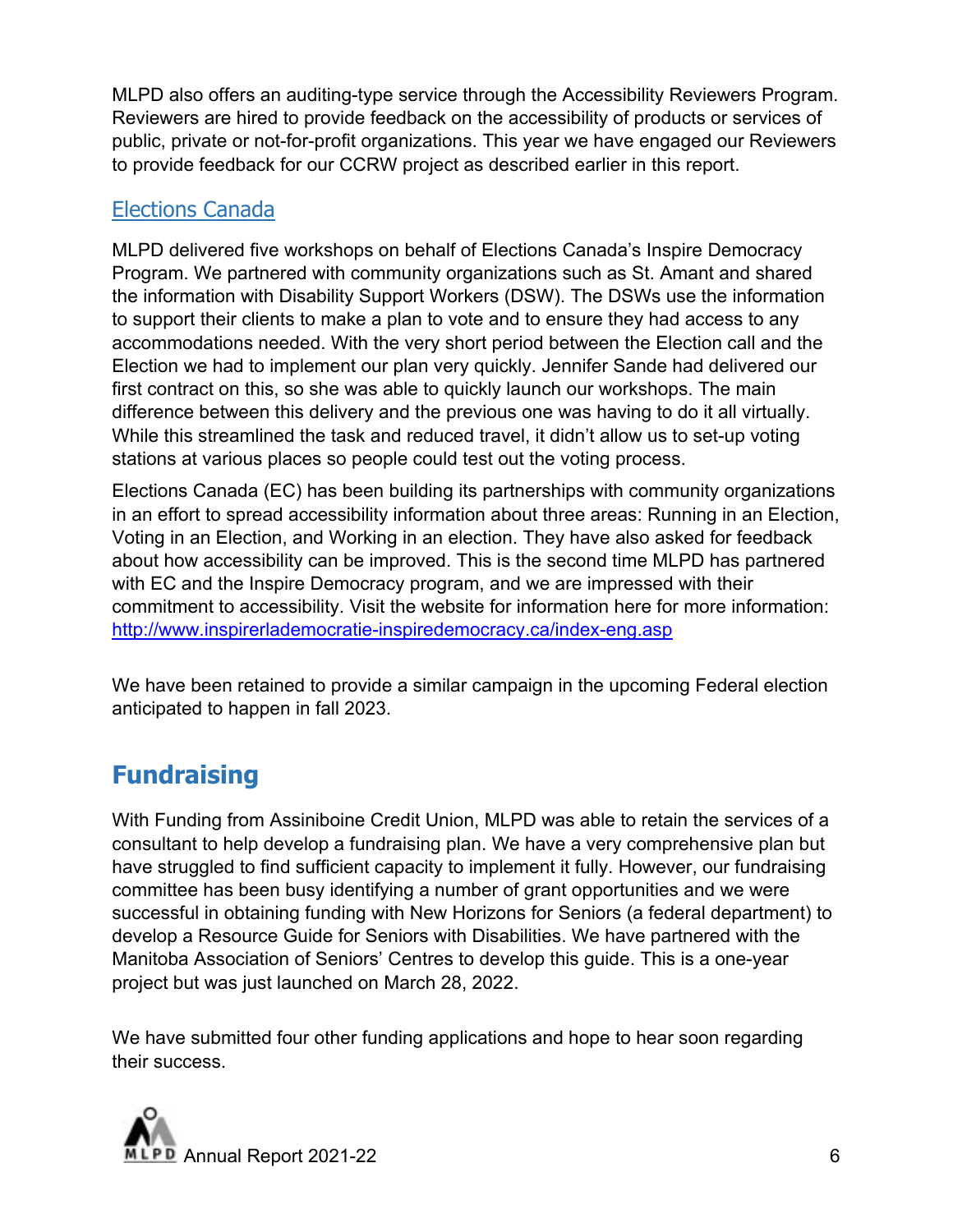MLPD also offers an auditing-type service through the Accessibility Reviewers Program. Reviewers are hired to provide feedback on the accessibility of products or services of public, private or not-for-profit organizations. This year we have engaged our Reviewers to provide feedback for our CCRW project as described earlier in this report.

#### Elections Canada

MLPD delivered five workshops on behalf of Elections Canada's Inspire Democracy Program. We partnered with community organizations such as St. Amant and shared the information with Disability Support Workers (DSW). The DSWs use the information to support their clients to make a plan to vote and to ensure they had access to any accommodations needed. With the very short period between the Election call and the Election we had to implement our plan very quickly. Jennifer Sande had delivered our first contract on this, so she was able to quickly launch our workshops. The main difference between this delivery and the previous one was having to do it all virtually. While this streamlined the task and reduced travel, it didn't allow us to set-up voting stations at various places so people could test out the voting process.

Elections Canada (EC) has been building its partnerships with community organizations in an effort to spread accessibility information about three areas: Running in an Election, Voting in an Election, and Working in an election. They have also asked for feedback about how accessibility can be improved. This is the second time MLPD has partnered with EC and the Inspire Democracy program, and we are impressed with their commitment to accessibility. Visit the website for information here for more information: http://www.inspirerlademocratie-inspiredemocracy.ca/index-eng.asp

We have been retained to provide a similar campaign in the upcoming Federal election anticipated to happen in fall 2023.

## **Fundraising**

With Funding from Assiniboine Credit Union, MLPD was able to retain the services of a consultant to help develop a fundraising plan. We have a very comprehensive plan but have struggled to find sufficient capacity to implement it fully. However, our fundraising committee has been busy identifying a number of grant opportunities and we were successful in obtaining funding with New Horizons for Seniors (a federal department) to develop a Resource Guide for Seniors with Disabilities. We have partnered with the Manitoba Association of Seniors' Centres to develop this guide. This is a one-year project but was just launched on March 28, 2022.

We have submitted four other funding applications and hope to hear soon regarding their success.

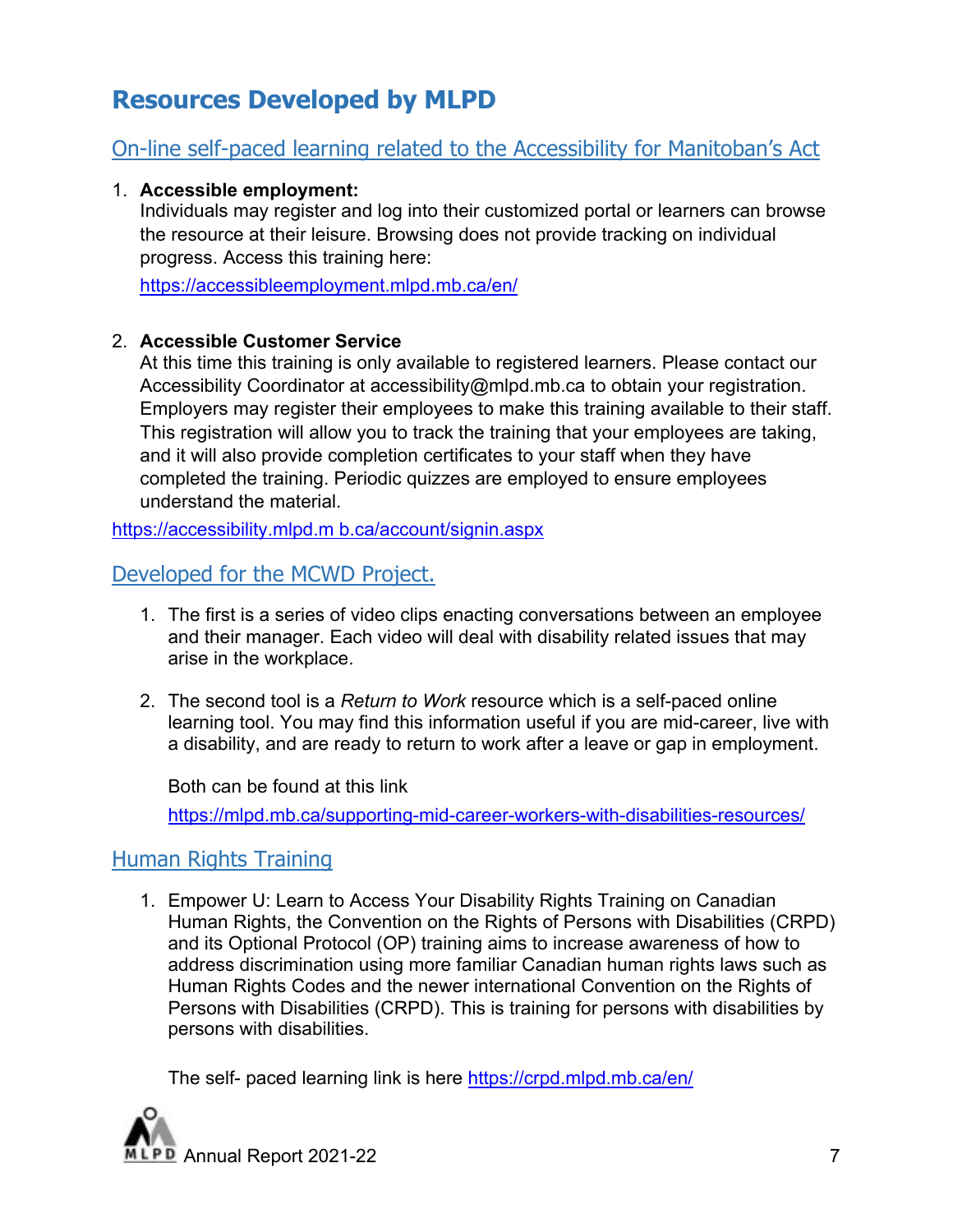## **Resources Developed by MLPD**

#### On-line self-paced learning related to the Accessibility for Manitoban's Act

#### 1. **Accessible employment:**

Individuals may register and log into their customized portal or learners can browse the resource at their leisure. Browsing does not provide tracking on individual progress. Access this training here:

https://accessibleemployment.mlpd.mb.ca/en/

#### 2. **Accessible Customer Service**

At this time this training is only available to registered learners. Please contact our Accessibility Coordinator at accessibility@mlpd.mb.ca to obtain your registration. Employers may register their employees to make this training available to their staff. This registration will allow you to track the training that your employees are taking, and it will also provide completion certificates to your staff when they have completed the training. Periodic quizzes are employed to ensure employees understand the material.

https://accessibility.mlpd.m b.ca/account/signin.aspx

#### Developed for the MCWD Project.

- 1. The first is a series of video clips enacting conversations between an employee and their manager. Each video will deal with disability related issues that may arise in the workplace.
- 2. The second tool is a *Return to Work* resource which is a self-paced online learning tool. You may find this information useful if you are mid-career, live with a disability, and are ready to return to work after a leave or gap in employment.

Both can be found at this link

https://mlpd.mb.ca/supporting-mid-career-workers-with-disabilities-resources/

#### Human Rights Training

1. Empower U: Learn to Access Your Disability Rights Training on Canadian Human Rights, the Convention on the Rights of Persons with Disabilities (CRPD) and its Optional Protocol (OP) training aims to increase awareness of how to address discrimination using more familiar Canadian human rights laws such as Human Rights Codes and the newer international Convention on the Rights of Persons with Disabilities (CRPD). This is training for persons with disabilities by persons with disabilities.

The self- paced learning link is here https://crpd.mlpd.mb.ca/en/

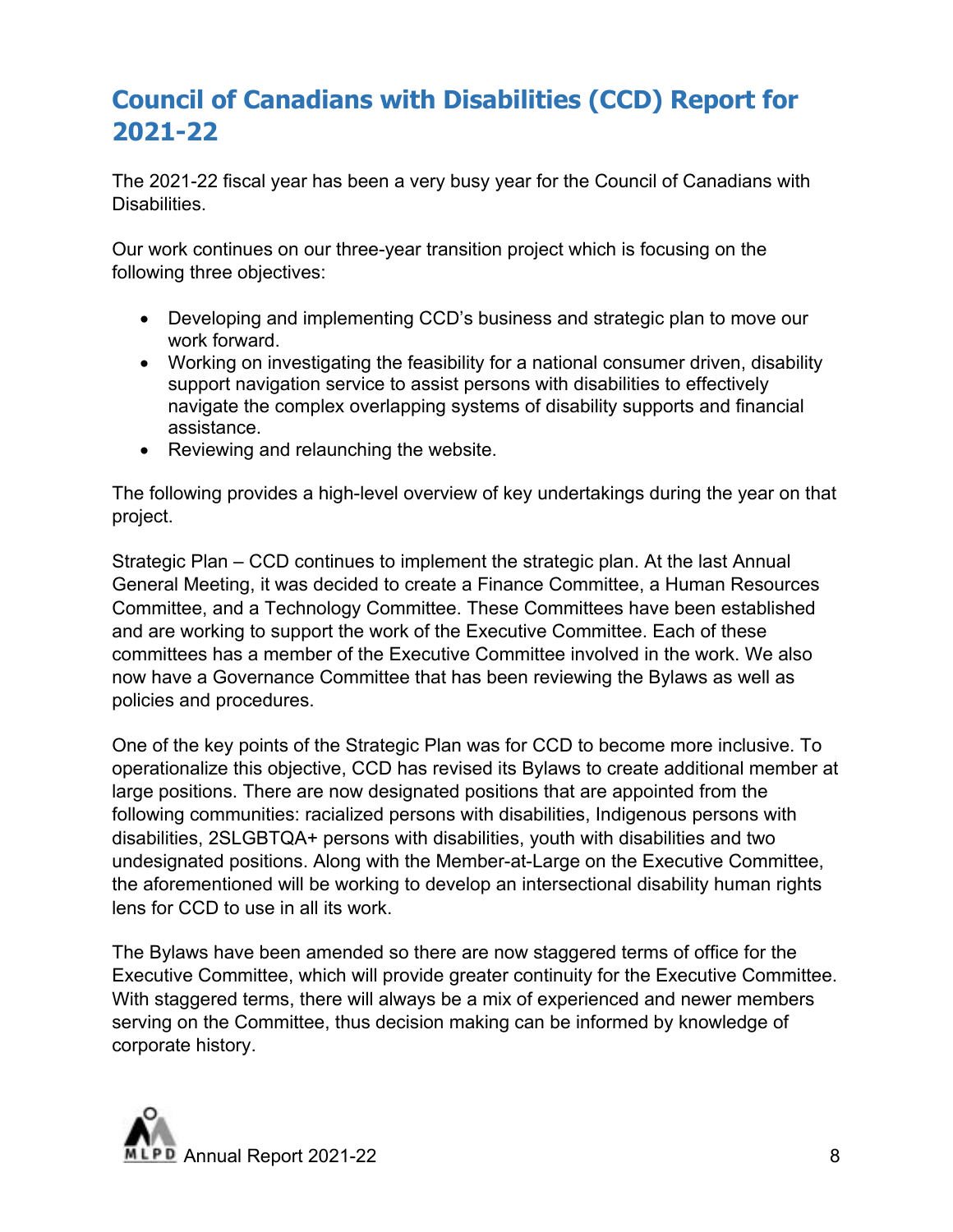## **Council of Canadians with Disabilities (CCD) Report for 2021-22**

The 2021-22 fiscal year has been a very busy year for the Council of Canadians with Disabilities.

Our work continues on our three-year transition project which is focusing on the following three objectives:

- Developing and implementing CCD's business and strategic plan to move our work forward.
- Working on investigating the feasibility for a national consumer driven, disability support navigation service to assist persons with disabilities to effectively navigate the complex overlapping systems of disability supports and financial assistance.
- Reviewing and relaunching the website.

The following provides a high-level overview of key undertakings during the year on that project.

Strategic Plan – CCD continues to implement the strategic plan. At the last Annual General Meeting, it was decided to create a Finance Committee, a Human Resources Committee, and a Technology Committee. These Committees have been established and are working to support the work of the Executive Committee. Each of these committees has a member of the Executive Committee involved in the work. We also now have a Governance Committee that has been reviewing the Bylaws as well as policies and procedures.

One of the key points of the Strategic Plan was for CCD to become more inclusive. To operationalize this objective, CCD has revised its Bylaws to create additional member at large positions. There are now designated positions that are appointed from the following communities: racialized persons with disabilities, Indigenous persons with disabilities, 2SLGBTQA+ persons with disabilities, youth with disabilities and two undesignated positions. Along with the Member-at-Large on the Executive Committee, the aforementioned will be working to develop an intersectional disability human rights lens for CCD to use in all its work.

The Bylaws have been amended so there are now staggered terms of office for the Executive Committee, which will provide greater continuity for the Executive Committee. With staggered terms, there will always be a mix of experienced and newer members serving on the Committee, thus decision making can be informed by knowledge of corporate history.